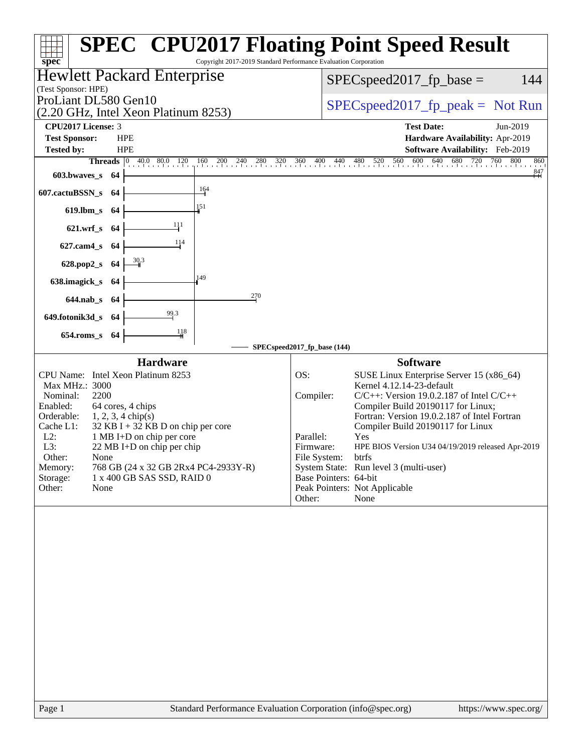| Copyright 2017-2019 Standard Performance Evaluation Corporation<br>$spec^*$                                                                                                                                                                                                                                                                                                                                                                  | <b>SPEC<sup>®</sup> CPU2017 Floating Point Speed Result</b>                                                                                                                                                                                                                                                                                                                                                                                                                                                                   |
|----------------------------------------------------------------------------------------------------------------------------------------------------------------------------------------------------------------------------------------------------------------------------------------------------------------------------------------------------------------------------------------------------------------------------------------------|-------------------------------------------------------------------------------------------------------------------------------------------------------------------------------------------------------------------------------------------------------------------------------------------------------------------------------------------------------------------------------------------------------------------------------------------------------------------------------------------------------------------------------|
| <b>Hewlett Packard Enterprise</b><br>(Test Sponsor: HPE)                                                                                                                                                                                                                                                                                                                                                                                     | 144<br>$SPEC speed2017fp base =$                                                                                                                                                                                                                                                                                                                                                                                                                                                                                              |
| ProLiant DL580 Gen10<br>(2.20 GHz, Intel Xeon Platinum 8253)                                                                                                                                                                                                                                                                                                                                                                                 | $SPEC speed2017fr peak = Not Run$                                                                                                                                                                                                                                                                                                                                                                                                                                                                                             |
| <b>CPU2017 License: 3</b>                                                                                                                                                                                                                                                                                                                                                                                                                    | <b>Test Date:</b><br>Jun-2019                                                                                                                                                                                                                                                                                                                                                                                                                                                                                                 |
| <b>Test Sponsor:</b><br><b>HPE</b><br>Tested by:<br><b>HPE</b>                                                                                                                                                                                                                                                                                                                                                                               | Hardware Availability: Apr-2019<br>Software Availability: Feb-2019                                                                                                                                                                                                                                                                                                                                                                                                                                                            |
| <b>Threads</b> $\begin{vmatrix} 0 & 40.0 & 80.0 & 120 \end{vmatrix}$<br>$160$ 200 240 280 320 360 400 440                                                                                                                                                                                                                                                                                                                                    | 800<br>480 520 560 600 640 680 720 76<br>760<br>860                                                                                                                                                                                                                                                                                                                                                                                                                                                                           |
| 603.bwaves_s<br>-64                                                                                                                                                                                                                                                                                                                                                                                                                          | $\overset{847}{+}$                                                                                                                                                                                                                                                                                                                                                                                                                                                                                                            |
| $\frac{164}{ }$<br>607.cactuBSSN_s<br>-64                                                                                                                                                                                                                                                                                                                                                                                                    |                                                                                                                                                                                                                                                                                                                                                                                                                                                                                                                               |
| 151<br>$619$ .lbm_s<br>-64                                                                                                                                                                                                                                                                                                                                                                                                                   |                                                                                                                                                                                                                                                                                                                                                                                                                                                                                                                               |
| 111<br>$621.wrf$ <sub>S</sub><br>-64                                                                                                                                                                                                                                                                                                                                                                                                         |                                                                                                                                                                                                                                                                                                                                                                                                                                                                                                                               |
| 114<br>$627$ .cam $4_s$<br>-64                                                                                                                                                                                                                                                                                                                                                                                                               |                                                                                                                                                                                                                                                                                                                                                                                                                                                                                                                               |
| 628.pop2_s<br>-64                                                                                                                                                                                                                                                                                                                                                                                                                            |                                                                                                                                                                                                                                                                                                                                                                                                                                                                                                                               |
| 149<br>638.imagick_s<br>-64                                                                                                                                                                                                                                                                                                                                                                                                                  |                                                                                                                                                                                                                                                                                                                                                                                                                                                                                                                               |
| 270<br>$644$ .nab_s<br>- 64                                                                                                                                                                                                                                                                                                                                                                                                                  |                                                                                                                                                                                                                                                                                                                                                                                                                                                                                                                               |
| 99.3<br>649.fotonik3d_s 64                                                                                                                                                                                                                                                                                                                                                                                                                   |                                                                                                                                                                                                                                                                                                                                                                                                                                                                                                                               |
| 118<br>$654$ .roms_s<br>-64                                                                                                                                                                                                                                                                                                                                                                                                                  |                                                                                                                                                                                                                                                                                                                                                                                                                                                                                                                               |
|                                                                                                                                                                                                                                                                                                                                                                                                                                              | SPECspeed2017_fp_base (144)                                                                                                                                                                                                                                                                                                                                                                                                                                                                                                   |
| <b>Hardware</b><br>CPU Name: Intel Xeon Platinum 8253<br>Max MHz.: 3000<br>2200<br>Nominal:<br>64 cores, 4 chips<br>Enabled:<br>Orderable:<br>$1, 2, 3, 4 \text{ chip}(s)$<br>Cache L1:<br>$32$ KB I + 32 KB D on chip per core<br>$L2$ :<br>1 MB I+D on chip per core<br>L3:<br>22 MB I+D on chip per chip<br>Other:<br>None<br>Memory:<br>768 GB (24 x 32 GB 2Rx4 PC4-2933Y-R)<br>Storage:<br>1 x 400 GB SAS SSD, RAID 0<br>Other:<br>None | <b>Software</b><br>OS:<br>SUSE Linux Enterprise Server 15 (x86_64)<br>Kernel 4.12.14-23-default<br>Compiler:<br>$C/C++$ : Version 19.0.2.187 of Intel $C/C++$<br>Compiler Build 20190117 for Linux;<br>Fortran: Version 19.0.2.187 of Intel Fortran<br>Compiler Build 20190117 for Linux<br>Parallel:<br>Yes<br>HPE BIOS Version U34 04/19/2019 released Apr-2019<br>Firmware:<br>File System:<br>btrfs<br>System State: Run level 3 (multi-user)<br>Base Pointers: 64-bit<br>Peak Pointers: Not Applicable<br>None<br>Other: |
|                                                                                                                                                                                                                                                                                                                                                                                                                                              |                                                                                                                                                                                                                                                                                                                                                                                                                                                                                                                               |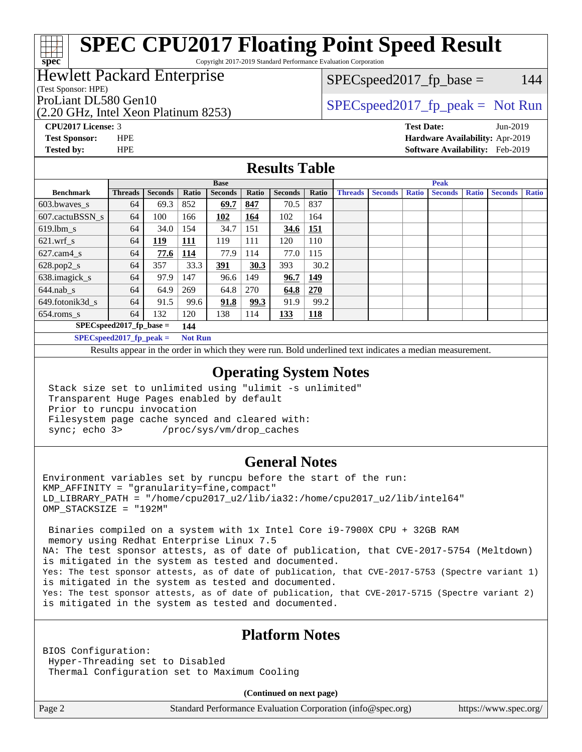Copyright 2017-2019 Standard Performance Evaluation Corporation

## Hewlett Packard Enterprise

(Test Sponsor: HPE)

**[spec](http://www.spec.org/)**

(2.20 GHz, Intel Xeon Platinum 8253)

 $SPEC speed2017_fp\_base = 144$ 

ProLiant DL580 Gen10  $SPEC speed2017$  [p\_peak = Not Run

**[CPU2017 License:](http://www.spec.org/auto/cpu2017/Docs/result-fields.html#CPU2017License)** 3 **[Test Date:](http://www.spec.org/auto/cpu2017/Docs/result-fields.html#TestDate)** Jun-2019 **[Test Sponsor:](http://www.spec.org/auto/cpu2017/Docs/result-fields.html#TestSponsor)** HPE **[Hardware Availability:](http://www.spec.org/auto/cpu2017/Docs/result-fields.html#HardwareAvailability)** Apr-2019 **[Tested by:](http://www.spec.org/auto/cpu2017/Docs/result-fields.html#Testedby)** HPE **[Software Availability:](http://www.spec.org/auto/cpu2017/Docs/result-fields.html#SoftwareAvailability)** Feb-2019

### **[Results Table](http://www.spec.org/auto/cpu2017/Docs/result-fields.html#ResultsTable)**

| <b>Base</b>      |                             |                |                |                | <b>Peak</b> |                |            |                |                |              |                |              |                |              |
|------------------|-----------------------------|----------------|----------------|----------------|-------------|----------------|------------|----------------|----------------|--------------|----------------|--------------|----------------|--------------|
| <b>Benchmark</b> | <b>Threads</b>              | <b>Seconds</b> | Ratio          | <b>Seconds</b> | Ratio       | <b>Seconds</b> | Ratio      | <b>Threads</b> | <b>Seconds</b> | <b>Ratio</b> | <b>Seconds</b> | <b>Ratio</b> | <b>Seconds</b> | <b>Ratio</b> |
| $603.bwaves$ s   | 64                          | 69.3           | 852            | 69.7           | 847         | 70.5           | 837        |                |                |              |                |              |                |              |
| 607.cactuBSSN s  | 64                          | 100            | 166            | 102            | 164         | 102            | 164        |                |                |              |                |              |                |              |
| $619$ .lbm s     | 64                          | 34.0           | 154            | 34.7           | 151         | 34.6           | 151        |                |                |              |                |              |                |              |
| $621.wrf$ s      | 64                          | <u>119</u>     | <u>111</u>     | 119            | 111         | 120            | 110        |                |                |              |                |              |                |              |
| $627$ .cam4 s    | 64                          | 77.6           | <u>114</u>     | 77.9           | 114         | 77.0           | 115        |                |                |              |                |              |                |              |
| $628.pop2_s$     | 64                          | 357            | 33.3           | 391            | 30.3        | 393            | 30.2       |                |                |              |                |              |                |              |
| 638.imagick_s    | 64                          | 97.9           | 147            | 96.6           | 149         | 96.7           | 149        |                |                |              |                |              |                |              |
| $644$ .nab s     | 64                          | 64.9           | 269            | 64.8           | 270         | 64.8           | 270        |                |                |              |                |              |                |              |
| 649.fotonik3d s  | 64                          | 91.5           | 99.6           | 91.8           | 99.3        | 91.9           | 99.2       |                |                |              |                |              |                |              |
| $654$ .roms_s    | 64                          | 132            | 120            | 138            | 114         | 133            | <b>118</b> |                |                |              |                |              |                |              |
|                  | $SPEC speed2017_fp\_base =$ |                | 144            |                |             |                |            |                |                |              |                |              |                |              |
|                  | $SPECspeed2017_fp\_peak =$  |                | <b>Not Run</b> |                |             |                |            |                |                |              |                |              |                |              |

Results appear in the [order in which they were run.](http://www.spec.org/auto/cpu2017/Docs/result-fields.html#RunOrder) Bold underlined text [indicates a median measurement](http://www.spec.org/auto/cpu2017/Docs/result-fields.html#Median).

### **[Operating System Notes](http://www.spec.org/auto/cpu2017/Docs/result-fields.html#OperatingSystemNotes)**

 Stack size set to unlimited using "ulimit -s unlimited" Transparent Huge Pages enabled by default Prior to runcpu invocation Filesystem page cache synced and cleared with: sync; echo 3> /proc/sys/vm/drop\_caches

### **[General Notes](http://www.spec.org/auto/cpu2017/Docs/result-fields.html#GeneralNotes)**

Environment variables set by runcpu before the start of the run:  $KMP$  AFFINITY = "granularity=fine, compact" LD\_LIBRARY\_PATH = "/home/cpu2017\_u2/lib/ia32:/home/cpu2017\_u2/lib/intel64" OMP\_STACKSIZE = "192M"

 Binaries compiled on a system with 1x Intel Core i9-7900X CPU + 32GB RAM memory using Redhat Enterprise Linux 7.5 NA: The test sponsor attests, as of date of publication, that CVE-2017-5754 (Meltdown) is mitigated in the system as tested and documented. Yes: The test sponsor attests, as of date of publication, that CVE-2017-5753 (Spectre variant 1) is mitigated in the system as tested and documented. Yes: The test sponsor attests, as of date of publication, that CVE-2017-5715 (Spectre variant 2) is mitigated in the system as tested and documented.

## **[Platform Notes](http://www.spec.org/auto/cpu2017/Docs/result-fields.html#PlatformNotes)**

BIOS Configuration: Hyper-Threading set to Disabled Thermal Configuration set to Maximum Cooling

**(Continued on next page)**

Page 2 Standard Performance Evaluation Corporation [\(info@spec.org\)](mailto:info@spec.org) <https://www.spec.org/>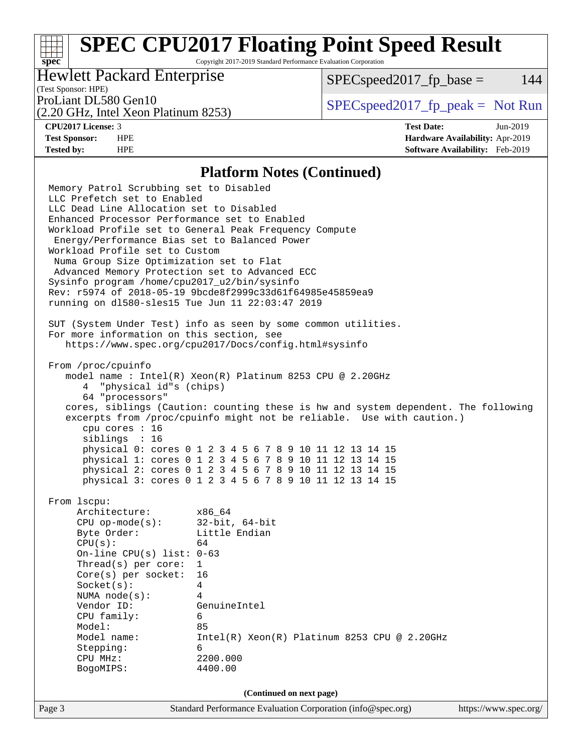Copyright 2017-2019 Standard Performance Evaluation Corporation

## Hewlett Packard Enterprise

 $SPEC speed2017<sub>fp</sub> base = 144$ 

## (Test Sponsor: HPE)

(2.20 GHz, Intel Xeon Platinum 8253)

ProLiant DL580 Gen10  $SPEC speed2017$  [p\_peak = Not Run

**[spec](http://www.spec.org/)**

**[CPU2017 License:](http://www.spec.org/auto/cpu2017/Docs/result-fields.html#CPU2017License)** 3 **[Test Date:](http://www.spec.org/auto/cpu2017/Docs/result-fields.html#TestDate)** Jun-2019 **[Test Sponsor:](http://www.spec.org/auto/cpu2017/Docs/result-fields.html#TestSponsor)** HPE **[Hardware Availability:](http://www.spec.org/auto/cpu2017/Docs/result-fields.html#HardwareAvailability)** Apr-2019 **[Tested by:](http://www.spec.org/auto/cpu2017/Docs/result-fields.html#Testedby)** HPE **[Software Availability:](http://www.spec.org/auto/cpu2017/Docs/result-fields.html#SoftwareAvailability)** Feb-2019

### **[Platform Notes \(Continued\)](http://www.spec.org/auto/cpu2017/Docs/result-fields.html#PlatformNotes)**

Page 3 Standard Performance Evaluation Corporation [\(info@spec.org\)](mailto:info@spec.org) <https://www.spec.org/> Memory Patrol Scrubbing set to Disabled LLC Prefetch set to Enabled LLC Dead Line Allocation set to Disabled Enhanced Processor Performance set to Enabled Workload Profile set to General Peak Frequency Compute Energy/Performance Bias set to Balanced Power Workload Profile set to Custom Numa Group Size Optimization set to Flat Advanced Memory Protection set to Advanced ECC Sysinfo program /home/cpu2017\_u2/bin/sysinfo Rev: r5974 of 2018-05-19 9bcde8f2999c33d61f64985e45859ea9 running on dl580-sles15 Tue Jun 11 22:03:47 2019 SUT (System Under Test) info as seen by some common utilities. For more information on this section, see <https://www.spec.org/cpu2017/Docs/config.html#sysinfo> From /proc/cpuinfo model name : Intel(R) Xeon(R) Platinum 8253 CPU @ 2.20GHz 4 "physical id"s (chips) 64 "processors" cores, siblings (Caution: counting these is hw and system dependent. The following excerpts from /proc/cpuinfo might not be reliable. Use with caution.) cpu cores : 16 siblings : 16 physical 0: cores 0 1 2 3 4 5 6 7 8 9 10 11 12 13 14 15 physical 1: cores 0 1 2 3 4 5 6 7 8 9 10 11 12 13 14 15 physical 2: cores 0 1 2 3 4 5 6 7 8 9 10 11 12 13 14 15 physical 3: cores 0 1 2 3 4 5 6 7 8 9 10 11 12 13 14 15 From lscpu: Architecture: x86\_64 CPU op-mode(s): 32-bit, 64-bit Byte Order: Little Endian  $CPU(s):$  64 On-line CPU(s) list: 0-63 Thread(s) per core: 1 Core(s) per socket: 16 Socket(s): 4 NUMA node(s): 4 Vendor ID: GenuineIntel CPU family: 6 Model: 85<br>Model name: 1n Intel(R) Xeon(R) Platinum 8253 CPU @ 2.20GHz Stepping: 6 CPU MHz: 2200.000 BogoMIPS: 4400.00 **(Continued on next page)**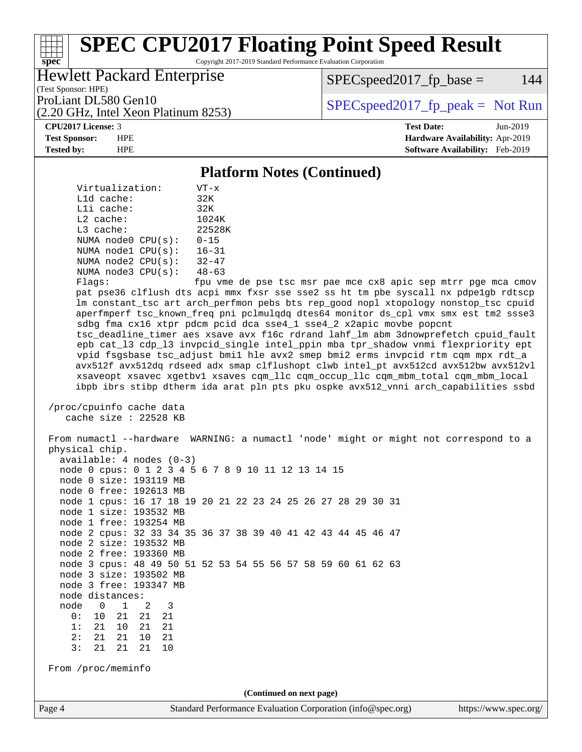Copyright 2017-2019 Standard Performance Evaluation Corporation

## Hewlett Packard Enterprise

 $SPEC speed2017<sub>fp</sub> base = 144$ 

(Test Sponsor: HPE)

(2.20 GHz, Intel Xeon Platinum 8253)

ProLiant DL580 Gen10  $SPEC speed2017$  [p\_peak = Not Run

**[spec](http://www.spec.org/)**

**[CPU2017 License:](http://www.spec.org/auto/cpu2017/Docs/result-fields.html#CPU2017License)** 3 **[Test Date:](http://www.spec.org/auto/cpu2017/Docs/result-fields.html#TestDate)** Jun-2019 **[Test Sponsor:](http://www.spec.org/auto/cpu2017/Docs/result-fields.html#TestSponsor)** HPE **[Hardware Availability:](http://www.spec.org/auto/cpu2017/Docs/result-fields.html#HardwareAvailability)** Apr-2019 **[Tested by:](http://www.spec.org/auto/cpu2017/Docs/result-fields.html#Testedby)** HPE **[Software Availability:](http://www.spec.org/auto/cpu2017/Docs/result-fields.html#SoftwareAvailability)** Feb-2019

### **[Platform Notes \(Continued\)](http://www.spec.org/auto/cpu2017/Docs/result-fields.html#PlatformNotes)**

 Virtualization: VT-x L1d cache: 32K L1i cache: 32K L2 cache: 1024K L3 cache: 22528K NUMA node0 CPU(s): 0-15 NUMA node1 CPU(s): 16-31 NUMA node2 CPU(s): 32-47 NUMA node3 CPU(s): 48-63

Flags: fpu vme de pse tsc msr pae mce cx8 apic sep mtrr pge mca cmov pat pse36 clflush dts acpi mmx fxsr sse sse2 ss ht tm pbe syscall nx pdpe1gb rdtscp lm constant\_tsc art arch\_perfmon pebs bts rep\_good nopl xtopology nonstop\_tsc cpuid aperfmperf tsc\_known\_freq pni pclmulqdq dtes64 monitor ds\_cpl vmx smx est tm2 ssse3 sdbg fma cx16 xtpr pdcm pcid dca sse4\_1 sse4\_2 x2apic movbe popcnt tsc\_deadline\_timer aes xsave avx f16c rdrand lahf\_lm abm 3dnowprefetch cpuid\_fault epb cat\_l3 cdp\_l3 invpcid\_single intel\_ppin mba tpr\_shadow vnmi flexpriority ept vpid fsgsbase tsc\_adjust bmi1 hle avx2 smep bmi2 erms invpcid rtm cqm mpx rdt\_a avx512f avx512dq rdseed adx smap clflushopt clwb intel\_pt avx512cd avx512bw avx512vl xsaveopt xsavec xgetbv1 xsaves cqm\_llc cqm\_occup\_llc cqm\_mbm\_total cqm\_mbm\_local ibpb ibrs stibp dtherm ida arat pln pts pku ospke avx512\_vnni arch\_capabilities ssbd

 /proc/cpuinfo cache data cache size : 22528 KB

Page 4 Standard Performance Evaluation Corporation [\(info@spec.org\)](mailto:info@spec.org) <https://www.spec.org/> From numactl --hardware WARNING: a numactl 'node' might or might not correspond to a physical chip. available: 4 nodes (0-3) node 0 cpus: 0 1 2 3 4 5 6 7 8 9 10 11 12 13 14 15 node 0 size: 193119 MB node 0 free: 192613 MB node 1 cpus: 16 17 18 19 20 21 22 23 24 25 26 27 28 29 30 31 node 1 size: 193532 MB node 1 free: 193254 MB node 2 cpus: 32 33 34 35 36 37 38 39 40 41 42 43 44 45 46 47 node 2 size: 193532 MB node 2 free: 193360 MB node 3 cpus: 48 49 50 51 52 53 54 55 56 57 58 59 60 61 62 63 node 3 size: 193502 MB node 3 free: 193347 MB node distances: node 0 1 2 3 0: 10 21 21 21 1: 21 10 21 21 2: 21 21 10 21 3: 21 21 21 10 From /proc/meminfo **(Continued on next page)**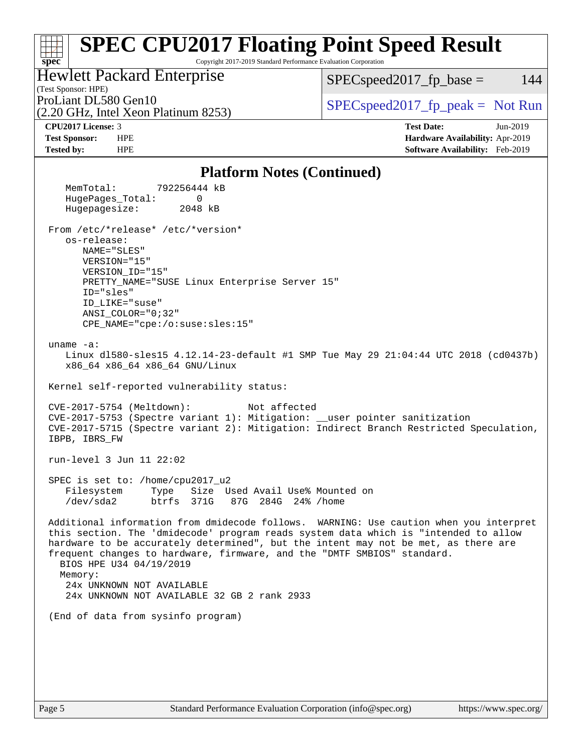### **[spec](http://www.spec.org/) [SPEC CPU2017 Floating Point Speed Result](http://www.spec.org/auto/cpu2017/Docs/result-fields.html#SPECCPU2017FloatingPointSpeedResult)** Copyright 2017-2019 Standard Performance Evaluation Corporation Hewlett Packard Enterprise  $SPEC speed2017_fp\_base = 144$

(Test Sponsor: HPE)

(2.20 GHz, Intel Xeon Platinum 8253)

ProLiant DL580 Gen10<br>  $(2.20 \text{ GHz})$  The Secon Platinum 8253)

**[CPU2017 License:](http://www.spec.org/auto/cpu2017/Docs/result-fields.html#CPU2017License)** 3 **[Test Date:](http://www.spec.org/auto/cpu2017/Docs/result-fields.html#TestDate)** Jun-2019 **[Test Sponsor:](http://www.spec.org/auto/cpu2017/Docs/result-fields.html#TestSponsor)** HPE **[Hardware Availability:](http://www.spec.org/auto/cpu2017/Docs/result-fields.html#HardwareAvailability)** Apr-2019 **[Tested by:](http://www.spec.org/auto/cpu2017/Docs/result-fields.html#Testedby)** HPE **[Software Availability:](http://www.spec.org/auto/cpu2017/Docs/result-fields.html#SoftwareAvailability)** Feb-2019

### [Platform Notes \(Continued\)](http://www.spec.org/auto/cpu2017/Docs/result-fields.html#PlatformNotes)

| T FALIOI III INDUES (COILLIFIUEGI)                                                                                                                                                                                                                                                                                                                                                                                                                               |
|------------------------------------------------------------------------------------------------------------------------------------------------------------------------------------------------------------------------------------------------------------------------------------------------------------------------------------------------------------------------------------------------------------------------------------------------------------------|
| 792256444 kB<br>MemTotal:<br>HugePages_Total:<br>0<br>2048 kB<br>Hugepagesize:                                                                                                                                                                                                                                                                                                                                                                                   |
| From /etc/*release* /etc/*version*<br>os-release:<br>NAME="SLES"<br>VERSION="15"<br>VERSION ID="15"<br>PRETTY_NAME="SUSE Linux Enterprise Server 15"<br>ID="sles"<br>ID_LIKE="suse"<br>ANSI_COLOR="0;32"<br>CPE_NAME="cpe:/o:suse:sles:15"                                                                                                                                                                                                                       |
| uname $-a$ :<br>Linux d1580-sles15 4.12.14-23-default #1 SMP Tue May 29 21:04:44 UTC 2018 (cd0437b)<br>x86_64 x86_64 x86_64 GNU/Linux                                                                                                                                                                                                                                                                                                                            |
| Kernel self-reported vulnerability status:                                                                                                                                                                                                                                                                                                                                                                                                                       |
| CVE-2017-5754 (Meltdown):<br>Not affected<br>CVE-2017-5753 (Spectre variant 1): Mitigation: __user pointer sanitization<br>CVE-2017-5715 (Spectre variant 2): Mitigation: Indirect Branch Restricted Speculation,<br>IBPB, IBRS_FW                                                                                                                                                                                                                               |
| run-level 3 Jun 11 22:02                                                                                                                                                                                                                                                                                                                                                                                                                                         |
| SPEC is set to: /home/cpu2017_u2<br>Filesystem<br>Type Size Used Avail Use% Mounted on<br>/dev/sda2<br>btrfs 371G 87G 284G 24% / home                                                                                                                                                                                                                                                                                                                            |
| Additional information from dmidecode follows. WARNING: Use caution when you interpret<br>this section. The 'dmidecode' program reads system data which is "intended to allow<br>hardware to be accurately determined", but the intent may not be met, as there are<br>frequent changes to hardware, firmware, and the "DMTF SMBIOS" standard.<br>BIOS HPE U34 04/19/2019<br>Memory:<br>24x UNKNOWN NOT AVAILABLE<br>24x UNKNOWN NOT AVAILABLE 32 GB 2 rank 2933 |
| (End of data from sysinfo program)                                                                                                                                                                                                                                                                                                                                                                                                                               |
|                                                                                                                                                                                                                                                                                                                                                                                                                                                                  |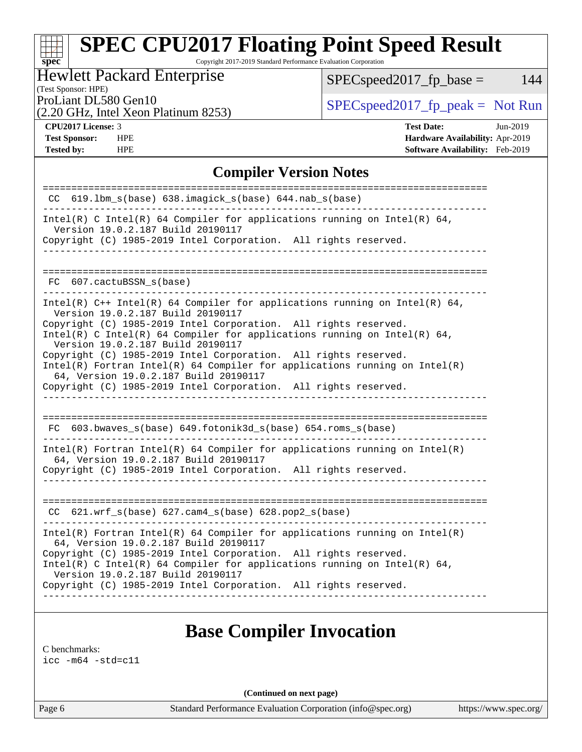Copyright 2017-2019 Standard Performance Evaluation Corporation

|  | <b>Hewlett Packard Enterprise</b> |  |
|--|-----------------------------------|--|
|  |                                   |  |

 $SPEC speed2017_fp\_base = 144$ 

(Test Sponsor: HPE)

(2.20 GHz, Intel Xeon Platinum 8253)

ProLiant DL580 Gen10<br>  $\begin{array}{c|c}\n\text{SPEC speed2017\_fp\_peak} = \text{Not Run} \\
\hline\n\end{array}$ 

**[spec](http://www.spec.org/)**

**[CPU2017 License:](http://www.spec.org/auto/cpu2017/Docs/result-fields.html#CPU2017License)** 3 **[Test Date:](http://www.spec.org/auto/cpu2017/Docs/result-fields.html#TestDate)** Jun-2019 **[Test Sponsor:](http://www.spec.org/auto/cpu2017/Docs/result-fields.html#TestSponsor)** HPE **[Hardware Availability:](http://www.spec.org/auto/cpu2017/Docs/result-fields.html#HardwareAvailability)** Apr-2019 **[Tested by:](http://www.spec.org/auto/cpu2017/Docs/result-fields.html#Testedby)** HPE **[Software Availability:](http://www.spec.org/auto/cpu2017/Docs/result-fields.html#SoftwareAvailability)** Feb-2019

### **[Compiler Version Notes](http://www.spec.org/auto/cpu2017/Docs/result-fields.html#CompilerVersionNotes)**

| $CC$ 619.1bm_s(base) 638.imagick_s(base) 644.nab_s(base)                                                                                                                                 |
|------------------------------------------------------------------------------------------------------------------------------------------------------------------------------------------|
| Intel(R) C Intel(R) 64 Compiler for applications running on Intel(R) 64,<br>Version 19.0.2.187 Build 20190117                                                                            |
| Copyright (C) 1985-2019 Intel Corporation. All rights reserved.<br>________________________________                                                                                      |
|                                                                                                                                                                                          |
| FC 607.cactuBSSN_s(base)                                                                                                                                                                 |
| Intel(R) C++ Intel(R) 64 Compiler for applications running on Intel(R) 64,<br>Version 19.0.2.187 Build 20190117                                                                          |
| Copyright (C) 1985-2019 Intel Corporation. All rights reserved.<br>Intel(R) C Intel(R) 64 Compiler for applications running on Intel(R) 64,<br>Version 19.0.2.187 Build 20190117         |
| Copyright (C) 1985-2019 Intel Corporation. All rights reserved.<br>$Intel(R)$ Fortran Intel(R) 64 Compiler for applications running on Intel(R)<br>64, Version 19.0.2.187 Build 20190117 |
| Copyright (C) 1985-2019 Intel Corporation. All rights reserved.                                                                                                                          |
|                                                                                                                                                                                          |
| $FC$ 603.bwaves_s(base) 649.fotonik3d_s(base) 654.roms_s(base)                                                                                                                           |
| Intel(R) Fortran Intel(R) 64 Compiler for applications running on Intel(R)<br>64, Version 19.0.2.187 Build 20190117                                                                      |
| Copyright (C) 1985-2019 Intel Corporation. All rights reserved.                                                                                                                          |
|                                                                                                                                                                                          |
| $CC$ 621.wrf_s(base) 627.cam4_s(base) 628.pop2_s(base)                                                                                                                                   |
| $Intel(R)$ Fortran Intel(R) 64 Compiler for applications running on Intel(R)<br>64, Version 19.0.2.187 Build 20190117                                                                    |
| Copyright (C) 1985-2019 Intel Corporation. All rights reserved.<br>Intel(R) C Intel(R) 64 Compiler for applications running on Intel(R) 64,<br>Version 19.0.2.187 Build 20190117         |
| Copyright (C) 1985-2019 Intel Corporation. All rights reserved.                                                                                                                          |
|                                                                                                                                                                                          |

## **[Base Compiler Invocation](http://www.spec.org/auto/cpu2017/Docs/result-fields.html#BaseCompilerInvocation)**

[C benchmarks](http://www.spec.org/auto/cpu2017/Docs/result-fields.html#Cbenchmarks):

[icc -m64 -std=c11](http://www.spec.org/cpu2017/results/res2019q3/cpu2017-20190625-15780.flags.html#user_CCbase_intel_icc_64bit_c11_33ee0cdaae7deeeab2a9725423ba97205ce30f63b9926c2519791662299b76a0318f32ddfffdc46587804de3178b4f9328c46fa7c2b0cd779d7a61945c91cd35)

**(Continued on next page)**

Page 6 Standard Performance Evaluation Corporation [\(info@spec.org\)](mailto:info@spec.org) <https://www.spec.org/>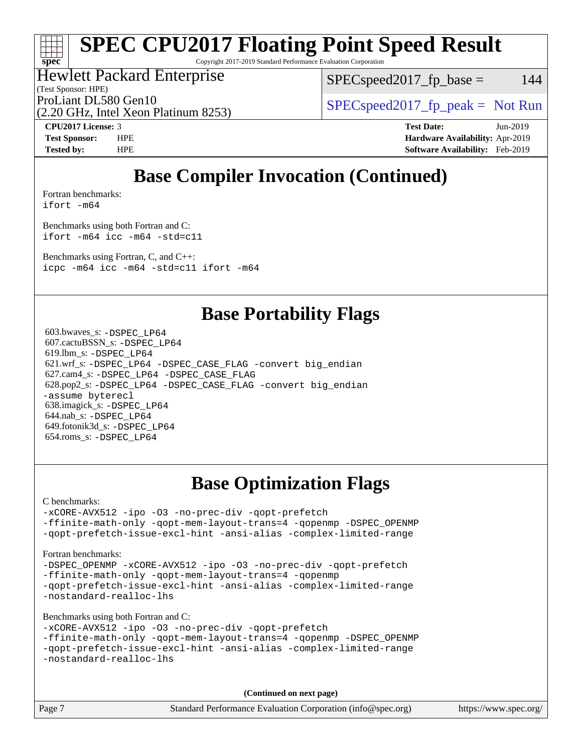Copyright 2017-2019 Standard Performance Evaluation Corporation

## Hewlett Packard Enterprise

(Test Sponsor: HPE)

 $SPEC speed2017_fp\_base = 144$ 

(2.20 GHz, Intel Xeon Platinum 8253) ProLiant DL580 Gen10  $SPEC speed2017$  [p\_peak = Not Run

**[spec](http://www.spec.org/)**

**[CPU2017 License:](http://www.spec.org/auto/cpu2017/Docs/result-fields.html#CPU2017License)** 3 **[Test Date:](http://www.spec.org/auto/cpu2017/Docs/result-fields.html#TestDate)** Jun-2019 **[Test Sponsor:](http://www.spec.org/auto/cpu2017/Docs/result-fields.html#TestSponsor)** HPE **[Hardware Availability:](http://www.spec.org/auto/cpu2017/Docs/result-fields.html#HardwareAvailability)** Apr-2019 **[Tested by:](http://www.spec.org/auto/cpu2017/Docs/result-fields.html#Testedby)** HPE **[Software Availability:](http://www.spec.org/auto/cpu2017/Docs/result-fields.html#SoftwareAvailability)** Feb-2019

## **[Base Compiler Invocation \(Continued\)](http://www.spec.org/auto/cpu2017/Docs/result-fields.html#BaseCompilerInvocation)**

[Fortran benchmarks](http://www.spec.org/auto/cpu2017/Docs/result-fields.html#Fortranbenchmarks):

[ifort -m64](http://www.spec.org/cpu2017/results/res2019q3/cpu2017-20190625-15780.flags.html#user_FCbase_intel_ifort_64bit_24f2bb282fbaeffd6157abe4f878425411749daecae9a33200eee2bee2fe76f3b89351d69a8130dd5949958ce389cf37ff59a95e7a40d588e8d3a57e0c3fd751)

[Benchmarks using both Fortran and C](http://www.spec.org/auto/cpu2017/Docs/result-fields.html#BenchmarksusingbothFortranandC): [ifort -m64](http://www.spec.org/cpu2017/results/res2019q3/cpu2017-20190625-15780.flags.html#user_CC_FCbase_intel_ifort_64bit_24f2bb282fbaeffd6157abe4f878425411749daecae9a33200eee2bee2fe76f3b89351d69a8130dd5949958ce389cf37ff59a95e7a40d588e8d3a57e0c3fd751) [icc -m64 -std=c11](http://www.spec.org/cpu2017/results/res2019q3/cpu2017-20190625-15780.flags.html#user_CC_FCbase_intel_icc_64bit_c11_33ee0cdaae7deeeab2a9725423ba97205ce30f63b9926c2519791662299b76a0318f32ddfffdc46587804de3178b4f9328c46fa7c2b0cd779d7a61945c91cd35)

[Benchmarks using Fortran, C, and C++:](http://www.spec.org/auto/cpu2017/Docs/result-fields.html#BenchmarksusingFortranCandCXX) [icpc -m64](http://www.spec.org/cpu2017/results/res2019q3/cpu2017-20190625-15780.flags.html#user_CC_CXX_FCbase_intel_icpc_64bit_4ecb2543ae3f1412ef961e0650ca070fec7b7afdcd6ed48761b84423119d1bf6bdf5cad15b44d48e7256388bc77273b966e5eb805aefd121eb22e9299b2ec9d9) [icc -m64 -std=c11](http://www.spec.org/cpu2017/results/res2019q3/cpu2017-20190625-15780.flags.html#user_CC_CXX_FCbase_intel_icc_64bit_c11_33ee0cdaae7deeeab2a9725423ba97205ce30f63b9926c2519791662299b76a0318f32ddfffdc46587804de3178b4f9328c46fa7c2b0cd779d7a61945c91cd35) [ifort -m64](http://www.spec.org/cpu2017/results/res2019q3/cpu2017-20190625-15780.flags.html#user_CC_CXX_FCbase_intel_ifort_64bit_24f2bb282fbaeffd6157abe4f878425411749daecae9a33200eee2bee2fe76f3b89351d69a8130dd5949958ce389cf37ff59a95e7a40d588e8d3a57e0c3fd751)

## **[Base Portability Flags](http://www.spec.org/auto/cpu2017/Docs/result-fields.html#BasePortabilityFlags)**

 603.bwaves\_s: [-DSPEC\\_LP64](http://www.spec.org/cpu2017/results/res2019q3/cpu2017-20190625-15780.flags.html#suite_basePORTABILITY603_bwaves_s_DSPEC_LP64) 607.cactuBSSN\_s: [-DSPEC\\_LP64](http://www.spec.org/cpu2017/results/res2019q3/cpu2017-20190625-15780.flags.html#suite_basePORTABILITY607_cactuBSSN_s_DSPEC_LP64) 619.lbm\_s: [-DSPEC\\_LP64](http://www.spec.org/cpu2017/results/res2019q3/cpu2017-20190625-15780.flags.html#suite_basePORTABILITY619_lbm_s_DSPEC_LP64) 621.wrf\_s: [-DSPEC\\_LP64](http://www.spec.org/cpu2017/results/res2019q3/cpu2017-20190625-15780.flags.html#suite_basePORTABILITY621_wrf_s_DSPEC_LP64) [-DSPEC\\_CASE\\_FLAG](http://www.spec.org/cpu2017/results/res2019q3/cpu2017-20190625-15780.flags.html#b621.wrf_s_baseCPORTABILITY_DSPEC_CASE_FLAG) [-convert big\\_endian](http://www.spec.org/cpu2017/results/res2019q3/cpu2017-20190625-15780.flags.html#user_baseFPORTABILITY621_wrf_s_convert_big_endian_c3194028bc08c63ac5d04de18c48ce6d347e4e562e8892b8bdbdc0214820426deb8554edfa529a3fb25a586e65a3d812c835984020483e7e73212c4d31a38223) 627.cam4\_s: [-DSPEC\\_LP64](http://www.spec.org/cpu2017/results/res2019q3/cpu2017-20190625-15780.flags.html#suite_basePORTABILITY627_cam4_s_DSPEC_LP64) [-DSPEC\\_CASE\\_FLAG](http://www.spec.org/cpu2017/results/res2019q3/cpu2017-20190625-15780.flags.html#b627.cam4_s_baseCPORTABILITY_DSPEC_CASE_FLAG) 628.pop2\_s: [-DSPEC\\_LP64](http://www.spec.org/cpu2017/results/res2019q3/cpu2017-20190625-15780.flags.html#suite_basePORTABILITY628_pop2_s_DSPEC_LP64) [-DSPEC\\_CASE\\_FLAG](http://www.spec.org/cpu2017/results/res2019q3/cpu2017-20190625-15780.flags.html#b628.pop2_s_baseCPORTABILITY_DSPEC_CASE_FLAG) [-convert big\\_endian](http://www.spec.org/cpu2017/results/res2019q3/cpu2017-20190625-15780.flags.html#user_baseFPORTABILITY628_pop2_s_convert_big_endian_c3194028bc08c63ac5d04de18c48ce6d347e4e562e8892b8bdbdc0214820426deb8554edfa529a3fb25a586e65a3d812c835984020483e7e73212c4d31a38223) [-assume byterecl](http://www.spec.org/cpu2017/results/res2019q3/cpu2017-20190625-15780.flags.html#user_baseFPORTABILITY628_pop2_s_assume_byterecl_7e47d18b9513cf18525430bbf0f2177aa9bf368bc7a059c09b2c06a34b53bd3447c950d3f8d6c70e3faf3a05c8557d66a5798b567902e8849adc142926523472) 638.imagick\_s: [-DSPEC\\_LP64](http://www.spec.org/cpu2017/results/res2019q3/cpu2017-20190625-15780.flags.html#suite_basePORTABILITY638_imagick_s_DSPEC_LP64) 644.nab\_s: [-DSPEC\\_LP64](http://www.spec.org/cpu2017/results/res2019q3/cpu2017-20190625-15780.flags.html#suite_basePORTABILITY644_nab_s_DSPEC_LP64) 649.fotonik3d\_s: [-DSPEC\\_LP64](http://www.spec.org/cpu2017/results/res2019q3/cpu2017-20190625-15780.flags.html#suite_basePORTABILITY649_fotonik3d_s_DSPEC_LP64) 654.roms\_s: [-DSPEC\\_LP64](http://www.spec.org/cpu2017/results/res2019q3/cpu2017-20190625-15780.flags.html#suite_basePORTABILITY654_roms_s_DSPEC_LP64)

## **[Base Optimization Flags](http://www.spec.org/auto/cpu2017/Docs/result-fields.html#BaseOptimizationFlags)**

[C benchmarks](http://www.spec.org/auto/cpu2017/Docs/result-fields.html#Cbenchmarks):

[-xCORE-AVX512](http://www.spec.org/cpu2017/results/res2019q3/cpu2017-20190625-15780.flags.html#user_CCbase_f-xCORE-AVX512) [-ipo](http://www.spec.org/cpu2017/results/res2019q3/cpu2017-20190625-15780.flags.html#user_CCbase_f-ipo) [-O3](http://www.spec.org/cpu2017/results/res2019q3/cpu2017-20190625-15780.flags.html#user_CCbase_f-O3) [-no-prec-div](http://www.spec.org/cpu2017/results/res2019q3/cpu2017-20190625-15780.flags.html#user_CCbase_f-no-prec-div) [-qopt-prefetch](http://www.spec.org/cpu2017/results/res2019q3/cpu2017-20190625-15780.flags.html#user_CCbase_f-qopt-prefetch) [-ffinite-math-only](http://www.spec.org/cpu2017/results/res2019q3/cpu2017-20190625-15780.flags.html#user_CCbase_f_finite_math_only_cb91587bd2077682c4b38af759c288ed7c732db004271a9512da14a4f8007909a5f1427ecbf1a0fb78ff2a814402c6114ac565ca162485bbcae155b5e4258871) [-qopt-mem-layout-trans=4](http://www.spec.org/cpu2017/results/res2019q3/cpu2017-20190625-15780.flags.html#user_CCbase_f-qopt-mem-layout-trans_fa39e755916c150a61361b7846f310bcdf6f04e385ef281cadf3647acec3f0ae266d1a1d22d972a7087a248fd4e6ca390a3634700869573d231a252c784941a8) [-qopenmp](http://www.spec.org/cpu2017/results/res2019q3/cpu2017-20190625-15780.flags.html#user_CCbase_qopenmp_16be0c44f24f464004c6784a7acb94aca937f053568ce72f94b139a11c7c168634a55f6653758ddd83bcf7b8463e8028bb0b48b77bcddc6b78d5d95bb1df2967) [-DSPEC\\_OPENMP](http://www.spec.org/cpu2017/results/res2019q3/cpu2017-20190625-15780.flags.html#suite_CCbase_DSPEC_OPENMP) [-qopt-prefetch-issue-excl-hint](http://www.spec.org/cpu2017/results/res2019q3/cpu2017-20190625-15780.flags.html#user_CCbase_f-qopt-prefetch-issue-excl-hint) [-ansi-alias](http://www.spec.org/cpu2017/results/res2019q3/cpu2017-20190625-15780.flags.html#user_CCbase_f-ansi-alias) [-complex-limited-range](http://www.spec.org/cpu2017/results/res2019q3/cpu2017-20190625-15780.flags.html#user_CCbase_f-complex-limited-range)

[Fortran benchmarks](http://www.spec.org/auto/cpu2017/Docs/result-fields.html#Fortranbenchmarks):

[-DSPEC\\_OPENMP](http://www.spec.org/cpu2017/results/res2019q3/cpu2017-20190625-15780.flags.html#suite_FCbase_DSPEC_OPENMP) [-xCORE-AVX512](http://www.spec.org/cpu2017/results/res2019q3/cpu2017-20190625-15780.flags.html#user_FCbase_f-xCORE-AVX512) [-ipo](http://www.spec.org/cpu2017/results/res2019q3/cpu2017-20190625-15780.flags.html#user_FCbase_f-ipo) [-O3](http://www.spec.org/cpu2017/results/res2019q3/cpu2017-20190625-15780.flags.html#user_FCbase_f-O3) [-no-prec-div](http://www.spec.org/cpu2017/results/res2019q3/cpu2017-20190625-15780.flags.html#user_FCbase_f-no-prec-div) [-qopt-prefetch](http://www.spec.org/cpu2017/results/res2019q3/cpu2017-20190625-15780.flags.html#user_FCbase_f-qopt-prefetch) [-ffinite-math-only](http://www.spec.org/cpu2017/results/res2019q3/cpu2017-20190625-15780.flags.html#user_FCbase_f_finite_math_only_cb91587bd2077682c4b38af759c288ed7c732db004271a9512da14a4f8007909a5f1427ecbf1a0fb78ff2a814402c6114ac565ca162485bbcae155b5e4258871) [-qopt-mem-layout-trans=4](http://www.spec.org/cpu2017/results/res2019q3/cpu2017-20190625-15780.flags.html#user_FCbase_f-qopt-mem-layout-trans_fa39e755916c150a61361b7846f310bcdf6f04e385ef281cadf3647acec3f0ae266d1a1d22d972a7087a248fd4e6ca390a3634700869573d231a252c784941a8) [-qopenmp](http://www.spec.org/cpu2017/results/res2019q3/cpu2017-20190625-15780.flags.html#user_FCbase_qopenmp_16be0c44f24f464004c6784a7acb94aca937f053568ce72f94b139a11c7c168634a55f6653758ddd83bcf7b8463e8028bb0b48b77bcddc6b78d5d95bb1df2967) [-qopt-prefetch-issue-excl-hint](http://www.spec.org/cpu2017/results/res2019q3/cpu2017-20190625-15780.flags.html#user_FCbase_f-qopt-prefetch-issue-excl-hint) [-ansi-alias](http://www.spec.org/cpu2017/results/res2019q3/cpu2017-20190625-15780.flags.html#user_FCbase_f-ansi-alias) [-complex-limited-range](http://www.spec.org/cpu2017/results/res2019q3/cpu2017-20190625-15780.flags.html#user_FCbase_f-complex-limited-range) [-nostandard-realloc-lhs](http://www.spec.org/cpu2017/results/res2019q3/cpu2017-20190625-15780.flags.html#user_FCbase_f_2003_std_realloc_82b4557e90729c0f113870c07e44d33d6f5a304b4f63d4c15d2d0f1fab99f5daaed73bdb9275d9ae411527f28b936061aa8b9c8f2d63842963b95c9dd6426b8a)

[Benchmarks using both Fortran and C](http://www.spec.org/auto/cpu2017/Docs/result-fields.html#BenchmarksusingbothFortranandC):

```
-xCORE-AVX512 -ipo -O3 -no-prec-div -qopt-prefetch
-ffinite-math-only -qopt-mem-layout-trans=4 -qopenmp -DSPEC_OPENMP
-qopt-prefetch-issue-excl-hint -ansi-alias -complex-limited-range
-nostandard-realloc-lhs
```
**(Continued on next page)**